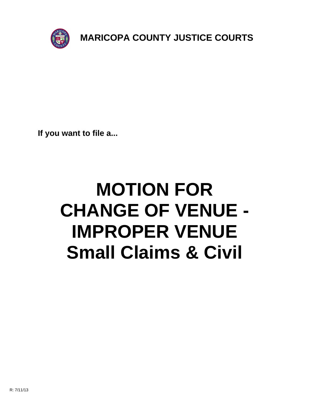

**If you want to file a...**

# **MOTION FOR CHANGE OF VENUE - IMPROPER VENUE Small Claims & Civil**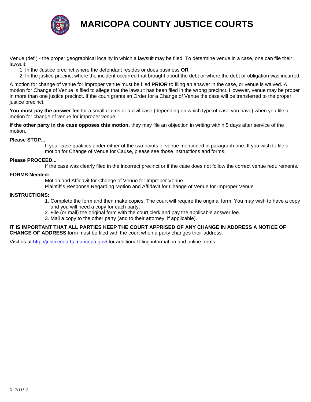

### **MARICOPA COUNTY JUSTICE COURTS**

Venue (def.) - the proper geographical locality in which a lawsuit may be filed. To determine venue in a case, one can file their lawsuit:

- 1. In the Justice precinct where the defendant resides or does business **OR**
- 2. In the justice precinct where the incident occurred that brought about the debt or where the debt or obligation was incurred.

A motion for change of venue for improper venue must be filed **PRIOR** to filing an answer in the case, or venue is waived. A motion for Change of Venue is filed to allege that the lawsuit has been filed in the wrong precinct. However, venue may be proper in more than one justice precinct. If the court grants an Order for a Change of Venue the case will be transferred to the proper justice precinct.

**You must pay the answer fee** for a small claims or a civil case (depending on which type of case you have) when you file a motion for change of venue for improper venue.

**If the other party in the case opposes this motion,** they may file an objection in writing within 5 days after service of the motion.

#### **Please STOP...**

 If your case qualifies under either of the two points of venue mentioned in paragraph one. If you wish to file a motion for Change of Venue for Cause, please see those instructions and forms.

#### **Please PROCEED...**

If the case was clearly filed in the incorrect precinct or if the case does not follow the correct venue requirements.

#### **FORMS Needed:**

Motion and Affidavit for Change of Venue for Improper Venue

Plaintiff's Response Regarding Motion and Affidavit for Change of Venue for Improper Venue

#### **INSTRUC[TIONS:](http://justicecourts.maricopa.gov/)**

- 1. Complete the form and then make copies. The court will require the original form. You may wish to have a copy and you will need a copy for each party.
- 2. File (or mail) the original form with the court clerk and pay the applicable answer fee.
- 3. Mail a copy to the other party (and to their attorney, if applicable).

#### **IT IS IMPORTANT THAT ALL PARTIES KEEP THE COURT APPRISED OF ANY CHANGE IN ADDRESS A NOTICE OF CHANGE OF ADDRESS** form must be filed with the court when a party changes their address.

Visit us at http://justicecourts.maricopa.gov/ for additional filing information and online forms.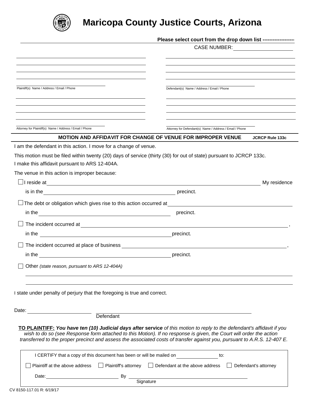

## **Maricopa County Justice Courts, Arizona**

|                                                                                                                                                                                                                                | Please select court from the drop down list ------------------                                                                                                                                                                                                                                                                                                             |
|--------------------------------------------------------------------------------------------------------------------------------------------------------------------------------------------------------------------------------|----------------------------------------------------------------------------------------------------------------------------------------------------------------------------------------------------------------------------------------------------------------------------------------------------------------------------------------------------------------------------|
|                                                                                                                                                                                                                                | CASE NUMBER: <u>__________________</u>                                                                                                                                                                                                                                                                                                                                     |
|                                                                                                                                                                                                                                |                                                                                                                                                                                                                                                                                                                                                                            |
|                                                                                                                                                                                                                                |                                                                                                                                                                                                                                                                                                                                                                            |
|                                                                                                                                                                                                                                |                                                                                                                                                                                                                                                                                                                                                                            |
| Plaintiff(s) Name / Address / Email / Phone                                                                                                                                                                                    | Defendant(s) Name / Address / Email / Phone                                                                                                                                                                                                                                                                                                                                |
|                                                                                                                                                                                                                                |                                                                                                                                                                                                                                                                                                                                                                            |
|                                                                                                                                                                                                                                |                                                                                                                                                                                                                                                                                                                                                                            |
|                                                                                                                                                                                                                                |                                                                                                                                                                                                                                                                                                                                                                            |
| Attorney for Plaintiff(s) Name / Address / Email / Phone                                                                                                                                                                       | Attorney for Defendant(s) Name / Address / Email / Phone                                                                                                                                                                                                                                                                                                                   |
|                                                                                                                                                                                                                                | <b>MOTION AND AFFIDAVIT FOR CHANGE OF VENUE FOR IMPROPER VENUE</b><br><b>JCRCP Rule 133c</b>                                                                                                                                                                                                                                                                               |
| I am the defendant in this action. I move for a change of venue.                                                                                                                                                               |                                                                                                                                                                                                                                                                                                                                                                            |
| This motion must be filed within twenty (20) days of service (thirty (30) for out of state) pursuant to JCRCP 133c.<br>I make this affidavit pursuant to ARS 12-404A.                                                          |                                                                                                                                                                                                                                                                                                                                                                            |
| The venue in this action is improper because:                                                                                                                                                                                  |                                                                                                                                                                                                                                                                                                                                                                            |
|                                                                                                                                                                                                                                | My residence                                                                                                                                                                                                                                                                                                                                                               |
| is in the record of the precinct.                                                                                                                                                                                              |                                                                                                                                                                                                                                                                                                                                                                            |
| $\Box$ The debt or obligation which gives rise to this action occurred at                                                                                                                                                      |                                                                                                                                                                                                                                                                                                                                                                            |
|                                                                                                                                                                                                                                | the control of the control of the control of the control of the control of<br>precinct.                                                                                                                                                                                                                                                                                    |
|                                                                                                                                                                                                                                |                                                                                                                                                                                                                                                                                                                                                                            |
| in the second contract of the second contract of the second contract of the second contract of the second contract of the second contract of the second contract of the second contract of the second contract of the second c | precinct.                                                                                                                                                                                                                                                                                                                                                                  |
|                                                                                                                                                                                                                                |                                                                                                                                                                                                                                                                                                                                                                            |
|                                                                                                                                                                                                                                | precinct.                                                                                                                                                                                                                                                                                                                                                                  |
| Other (state reason, pursuant to ARS 12-404A)                                                                                                                                                                                  |                                                                                                                                                                                                                                                                                                                                                                            |
|                                                                                                                                                                                                                                |                                                                                                                                                                                                                                                                                                                                                                            |
|                                                                                                                                                                                                                                |                                                                                                                                                                                                                                                                                                                                                                            |
| I state under penalty of perjury that the foregoing is true and correct.                                                                                                                                                       |                                                                                                                                                                                                                                                                                                                                                                            |
|                                                                                                                                                                                                                                |                                                                                                                                                                                                                                                                                                                                                                            |
| Date:<br>Defendant                                                                                                                                                                                                             |                                                                                                                                                                                                                                                                                                                                                                            |
|                                                                                                                                                                                                                                |                                                                                                                                                                                                                                                                                                                                                                            |
|                                                                                                                                                                                                                                | TO PLAINTIFF: You have ten (10) Judicial days after service of this motion to reply to the defendant's affidavit if you<br>wish to do so (see Response form attached to this Motion). If no response is given, the Court will order the action<br>transferred to the proper precinct and assess the associated costs of transfer against you, pursuant to A.R.S. 12-407 E. |
| I CERTIFY that a copy of this document has been or will be mailed on                                                                                                                                                           | to:                                                                                                                                                                                                                                                                                                                                                                        |
| Plaintiff at the above address                                                                                                                                                                                                 | $\Box$ Plaintiff's attorney $\Box$ Defendant at the above address $\Box$ Defendant's attorney                                                                                                                                                                                                                                                                              |
| Date:                                                                                                                                                                                                                          | By<br>Signature                                                                                                                                                                                                                                                                                                                                                            |
|                                                                                                                                                                                                                                |                                                                                                                                                                                                                                                                                                                                                                            |